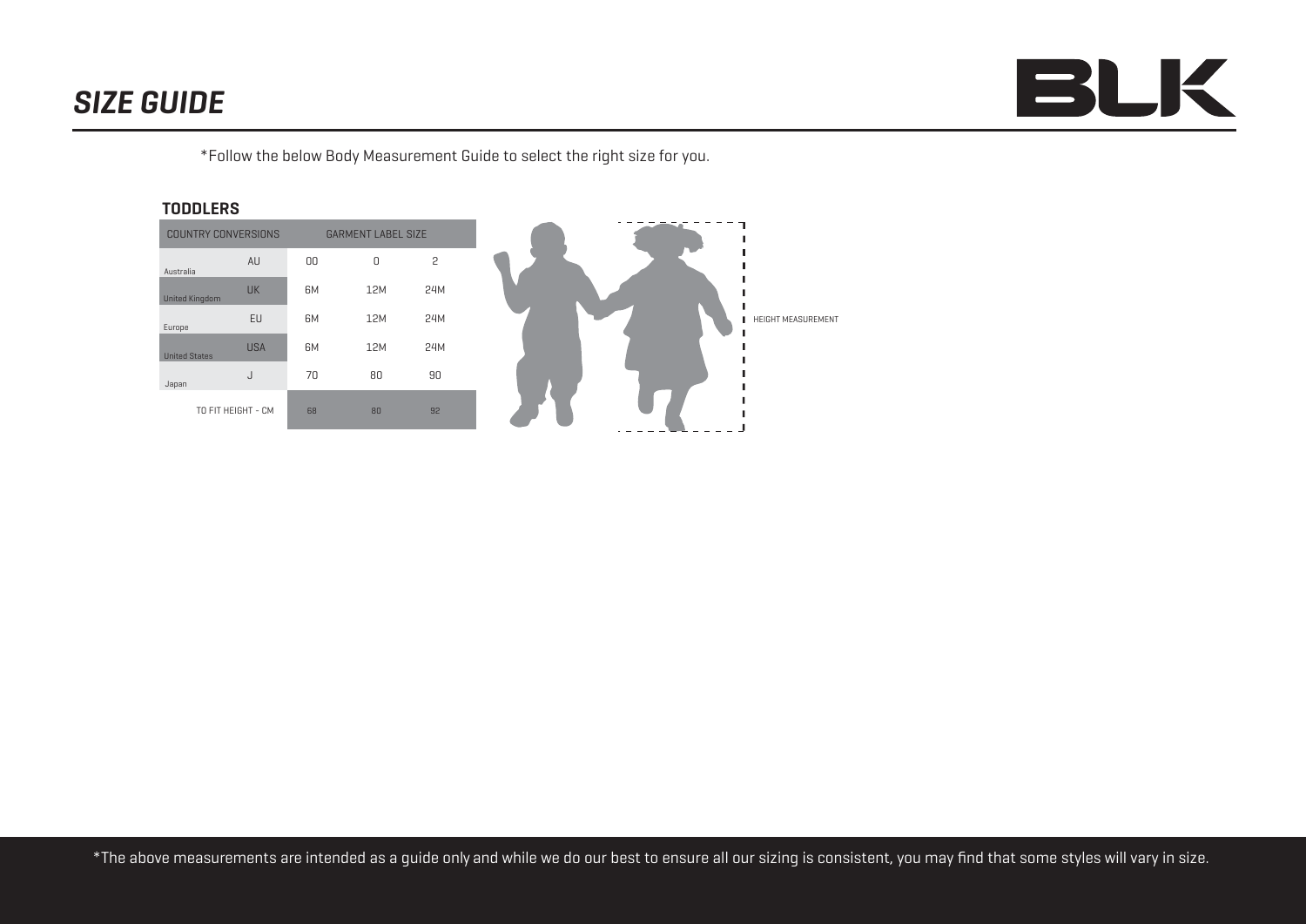# *SIZE GUIDE*



\*Follow the below Body Measurement Guide to select the right size for you.

### **TODDLERS**

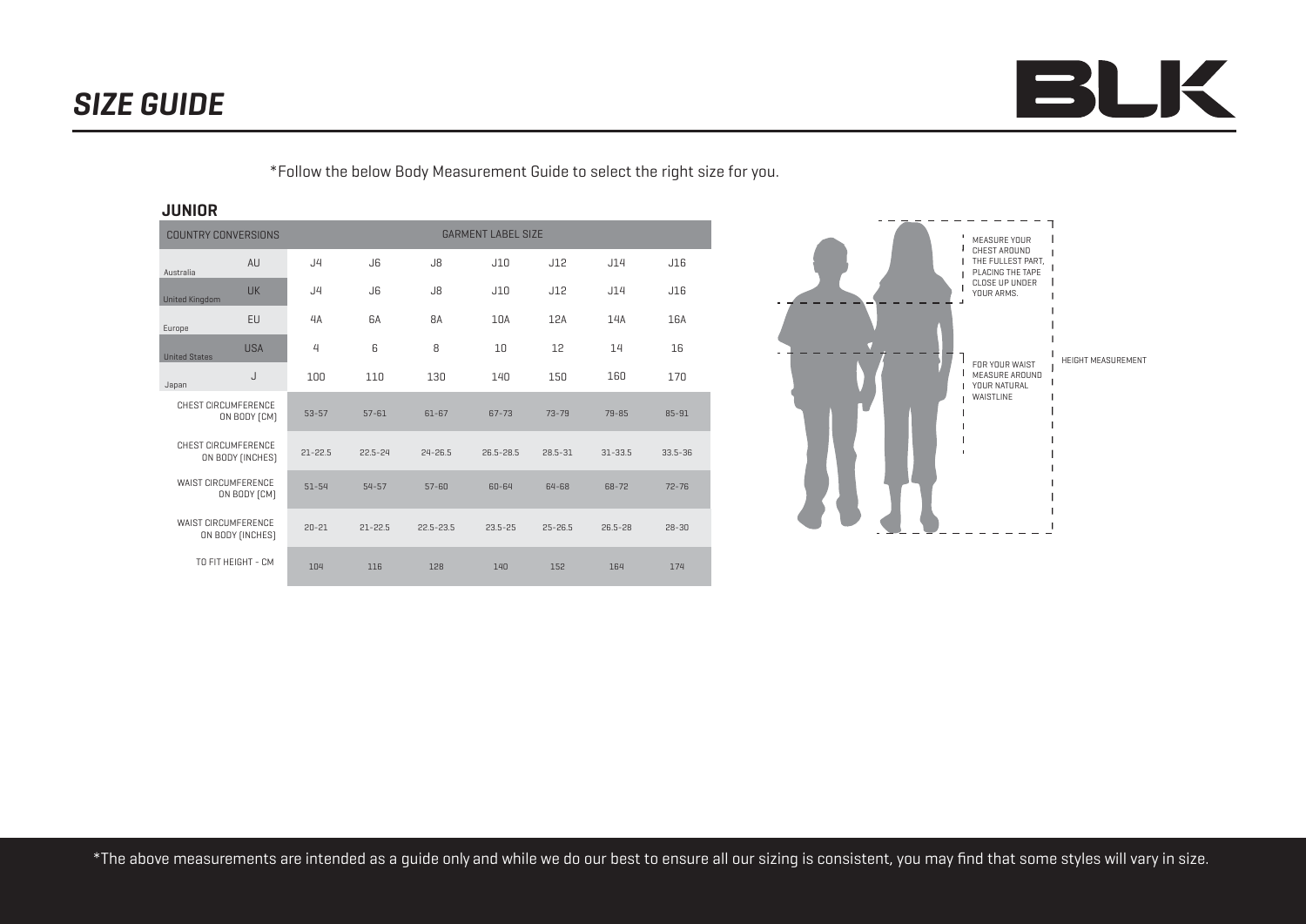

Л MEASURE YOUR CHEST AROUND THE FULLEST PART, PLACING THE TAPE CLOSE UP UNDER YOUR ARMS. FOR YOUR WAIST MEASURE AROUND YOUR NATURAL WAISTLINE

\*Follow the below Body Measurement Guide to select the right size for you.

## **JUNIOR**

| <b>COUNTRY CONVERSIONS</b>                 |                  | <b>GARMENT LABEL SIZE</b> |                |               |               |             |             |             |  |  |
|--------------------------------------------|------------------|---------------------------|----------------|---------------|---------------|-------------|-------------|-------------|--|--|
| Australia                                  | AU               | J4                        | J6             | J8            | J10           | J12         | J14         | J16         |  |  |
| <b>United Kingdom</b>                      | <b>UK</b>        | J4                        | J <sub>6</sub> | J8            | J10           | J12         | J14         | J16         |  |  |
| Europe                                     | EU               | 4A                        | 6A             | 8A            | 10A           | 12A         | 14A         | 16A         |  |  |
| <b>United States</b>                       | <b>USA</b>       | 4                         | 6              | 8             | 10            | 12          | 14          | 16          |  |  |
| Japan                                      | J                | 100                       | 110            | 130           | 140           | 150         | 160         | 170         |  |  |
| <b>CHEST CIRCUMFERENCE</b><br>ON BODY [CM] |                  | $53 - 57$                 | $57 - 61$      | $61 - 67$     | $67 - 73$     | $73 - 79$   | 79-85       | 85-91       |  |  |
| CHEST CIRCUMFERENCE<br>ON BODY [INCHES]    |                  | $21 - 22.5$               | $22.5 - 24$    | $24 - 26.5$   | $26.5 - 28.5$ | $28.5 - 31$ | $31 - 33.5$ | $33.5 - 36$ |  |  |
| <b>WAIST CIRCUMFERENCE</b><br>ON BODY [CM] |                  | $51 - 54$                 | $54 - 57$      | $57 - 60$     | 60-64         | 64-68       | $68 - 72$   | $72 - 76$   |  |  |
| <b>WAIST CIRCUMFERENCE</b>                 | ON BODY [INCHES] | $20 - 21$                 | $21 - 22.5$    | $22.5 - 23.5$ | $23.5 - 25$   | $25 - 26.5$ | $26.5 - 28$ | $28 - 30$   |  |  |
| TO FIT HEIGHT - CM                         |                  | 104                       | 116            | 128           | 140           | 152         | 164         | 174         |  |  |



HEIGHT MEASUREMENT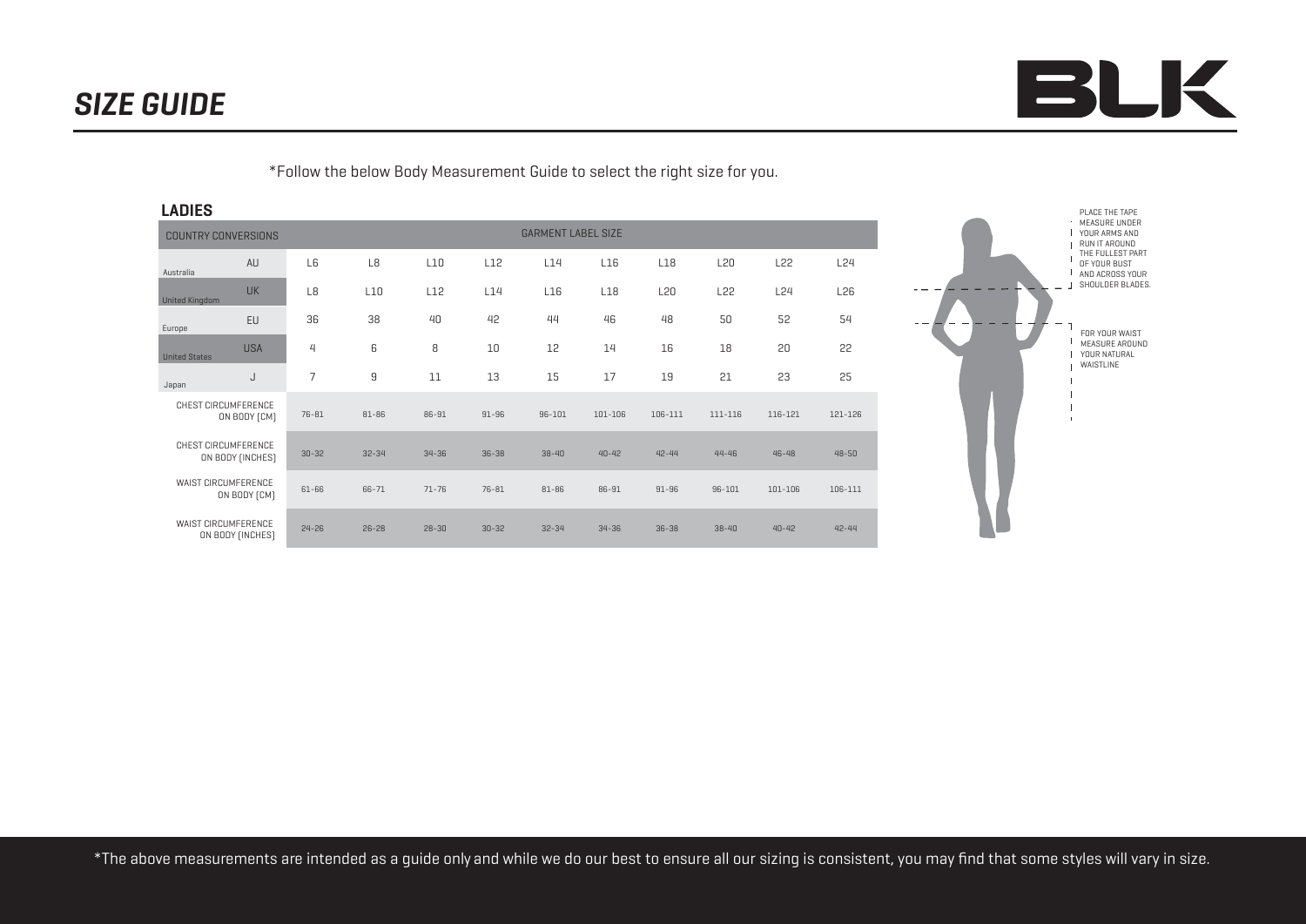

- YOUR ARMS AND
- RUN IT AROUND
- THE FULLEST PART
- OF YOUR BUST **I** AND ACROSS YOUR
- SHOULDER BLADES.

FOR YOUR WAIST MEASURE AROUND

- YOUR NATURAL
- WAISTLINE
- 
- 
- 
- 

PLACE THE TAPE MEASURE UNDER

\*Follow the below Body Measurement Guide to select the right size for you.

WAIST CIRCUMFERENCE ON BODY (INCHES) CHEST CIRCUMFERENCE ON BODY (INCHES) CHEST CIRCUMFERENCE ON BODY (CM) WAIST CIRCUMFERENCE ON BODY (CM) **LADIES**  EU EU USA USA J J L6 L8 L10 L12 L14 L16 L18 L20 L22 L24 L8 L10 L12 L14 L16 L18 L20 L22 L24 L26 36 38 40 42 44 46 48 50 52 54 4 6 8 10 12 14 16 18 20 22 7 9 11 13 15 17 19 21 23 25 UK United Kingdom AU Australia **COUNTRY CONVERSIONS** GARMENT LABEL SIZE Europe United States Japan 30-32 32-34 34-36 36-38 38-40 40-42 42-44 44-46 46-48 48-50 76-81 81-86 86-91 91-96 96-101 101-106 106-111 111-116 116-121 121-126 24-26 26-28 28-30 30-32 32-34 34-36 36-38 38-40 40-42 42-44 61-66 66-71 71-76 76-81 81-86 86-91 91-96 96-101 101-106 106-111